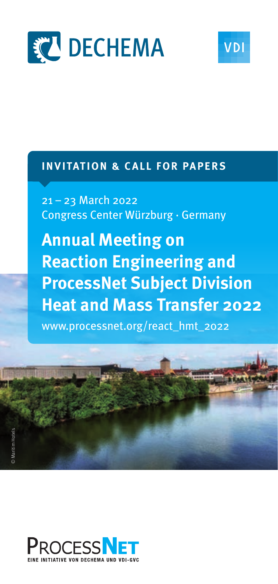



# **INVITATION & CALL FOR PAPERS**

21 – 23 March 2022 Congress Center Würzburg · Germany

**Annual Meeting on Reaction Engineering and ProcessNet Subject Division Heat and Mass Transfer 2022**

www.processnet.org/react\_hmt\_2022